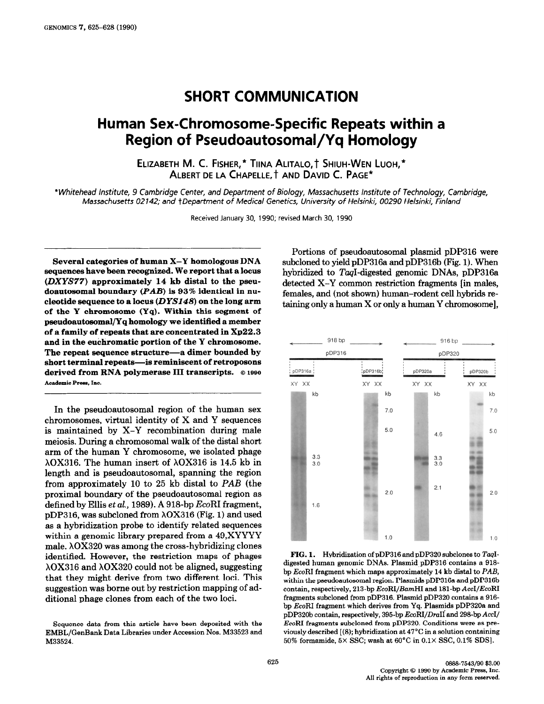## SHORT COMMUNICATION

## Human Sex-Chromosome-Specific Repeats within a Region of Pseudoautosomal/Yq Homology

ELIZABETH M. C. FISHER,\* TIINA ALITALO,† SHIUH-WEN LUOH,\* ALBERT DE LA CHAPELLE, t AND DAVID C. PAGE\*

\* Whitehead Institute, 9 Cambridge Center, and Department of Biology, Massachusetts Institute of Technology, Cambridge, Massachusetts 02142; and tDepartment of Medical Genetics, University of Helsinki, 00290 Helsinki, Finland

Received January 30, 1990; revised March 30, 1990

Several categories of human X-Y homologous DNA sequences have been recognized. We report that a locus (DXYS77) approximately 14 kb distal to the pseudoautosomal boundary (PAB) is 93% identical in nucleotide sequence to a locus  $(DYS148)$  on the long arm of the Y chromosome (Yq). Within this segment of pseudoautosomal/Yq homology we identified a member of a family of repeats that are concentrated in Xp22.3 and in the euchromatic portion of the Y chromosome. The repeat sequence structure-a dimer bounded by short terminal repeats-is reminiscent of retroposons derived from RNA polymerase III transcripts.  $@$  1990 Academic Press, Inc.

In the pseudoautosomal region of the human sex chromosomes, virtual identity of X and Y sequences is maintained by X-Y recombination during male meiosis. During a chromosomal walk of the distal short arm of the human Y chromosome, we isolated phage  $\lambda$ OX316. The human insert of  $\lambda$ OX316 is 14.5 kb in length and is pseudoautosomal, spanning the region from approximately 10 to 25 kb distal to PAB (the proximal boundary of the pseudoautosomal region as defined by Ellis et al., 1989). A 918-bp  $EcoRI$  fragment, pDP316, was subcloned from X0X316 (Fig. 1) and used as a hybridization probe to identify related sequences within a genomic library prepared from a 49,XYYYY male.  $\lambda$ OX320 was among the cross-hybridizing clones identified. However, the restriction maps of phages  $\lambda$ OX316 and  $\lambda$ OX320 could not be aligned, suggesting that they might derive from two different loci. This suggestion was borne out by restriction mapping of additional phage clones from each of the two loci.

Sequence data from this article have been deposited with the EMBL/GenBank Data Libraries under Accession Nos. M33523 and M33524.

Portions of pseudoautosomal plasmid pDP316 were subcloned to yield pDP316a and pDP316b (Fig. 1). When hybridized to TaqI-digested genomic DNAs, pDP316a detected X-Y common restriction fragments [in males, females, and (not shown) human-rodent cell hybrids retaining only a human X or only a human Y chromosome],



FIG. 1. Hybridization of pDP316 and pDP320 subclones to TaqIdigested human genomic DNAs. Plasmid pDP316 contains a 918bp EcoRI fragment which maps approximately 14 kb distal to PAB, within the pseudoautosomal region. Plasmids pDP316a and pDP316b contain, respectively, 213-bp EcoRI/BamHI and 181-bp AccI/EcoRI fragments subcloned from pDP316. Plasmid pDP320 contains a 916 bp EcoRI fragment which derives from Yq. Plasmids pDP320a and pDP320b contain, respectively, 395-bp EcoRI/DraII and 298-bp AccI/ EcoRI fragments subcloned from pDP320. Conditions were as previously described [(8); hybridization at 47°C in a solution containing 50% formamide, 5X SSC; wash at 60°C in 0.1X SSC, 0.1% SDS].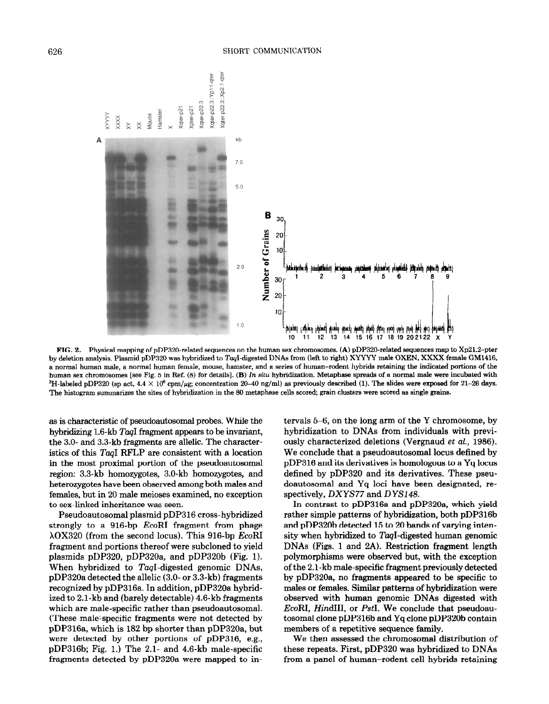

FIG. 2. Physical mapping of pDP320-related sequences on the human sex chromosomes. (A) pDP320-related sequences map to Xp21.2-pter by deletion analysis. Plasmid pDP320 was hybridized to TaqI-digested DNAs from (left to right) XYYYY male OXEN, XXXX female GM1416, a normal human male, a normal human female, mouse, hamster, and a series of human-rodent hybrids retaining the indicated portions of the human sex chromosomes [see Fig. 5 in Ref. (8) for details]. (B) In situ hybridization. Metaphase spreads of a normal male were incubated with <sup>3</sup>H-labeled pDP320 (sp act,  $4.4 \times 10^6$  cpm/ $\mu$ g; concentration 20–40 ng/ml) as previously described (1). The slides were exposed for 21–26 days. The histogram summarizes the sites of hybridization in the 80 metaphase cells scored, grain clusters were scored as single grains.

as is characteristic of pseudoautosomal probes. While the hybridizing 1.6-kb TaqI fragment appears to be invariant, the 3.0- and 3.3-kb fragments are allelic. The characteristics of this TaqI RFLP are consistent with a location in the most proximal portion of the pseudoautosomal region: 3.3-kb homozygotes, 3.0-kb homozygotes, and heterozygotes have been observed among both males and females, but in 20 male meioses examined, no exception to sex-linked inheritance was seen.

Pseudoautosomal plasmid pDP316 cross-hybridized strongly to a 916-bp EcoRI fragment from phage  $\lambda$ OX320 (from the second locus). This 916-bp EcoRI fragment and portions thereof were subcloned to yield plasmids pDP320, pDP320a, and pDP320b (Fig. 1). When hybridized to TaqI-digested genomic DNAs, pDP320a detected the allelic (3.0- or 3.3-kb) fragments recognized by pDP316a. In addition, pDP320a hybridized to 2.i-kb and (barely detectable) 4.6-kb fragments which are male-specific rather than pseudoautosomal. (These male-specific' fragments were not detected by pDP316a, which is 182 bp shorter than pDP320a, but were detected by other portions of pDP316, e.g., pDP316b; Fig. 1.) The 2.1- and 4.6-kb male-specific fragments detected by pDP320a were mapped to intervals 5-6, on the long arm of the Y chromosome, by hybridization to DNAs from individuals with previously characterized deletions (Vergnaud et al., 1986). We conclude that a pseudoautosomal locus defined by pDP316 and its derivatives is homologous to a Yq locus defined by pDP320 and its derivatives. These pseudoautosomal and Yq loci have been designated, respectively, DXYS77 and DYS148.

In contrast to pDP316a and pDP32Oa, which yield rather simple patterns of hybridization, both pDP316b and pDP320b detected 15 to 20 bands of varying intensity when hybridized to TaqI-digested human genomic DNAs (Figs. 1 and 2A). Restriction fragment length polymorphisms were observed but, with the exception of the 2.1-kb male-specific fragment previously detected by pDP320a, no fragments appeared to be specific to males or females. Similar patterns of hybridization were observed with human genomic DNAs digested with EcoRI, HindIII, or PstI. We conclude that pseudoautosomal clone pDP316b and Yq clone pDP320b contain members of a repetitive sequence family.

We then assessed the chromosomal distribution of these repeats. First, pDP320 was hybridized to DNAs from a panel of human-rodent cell hybrids retaining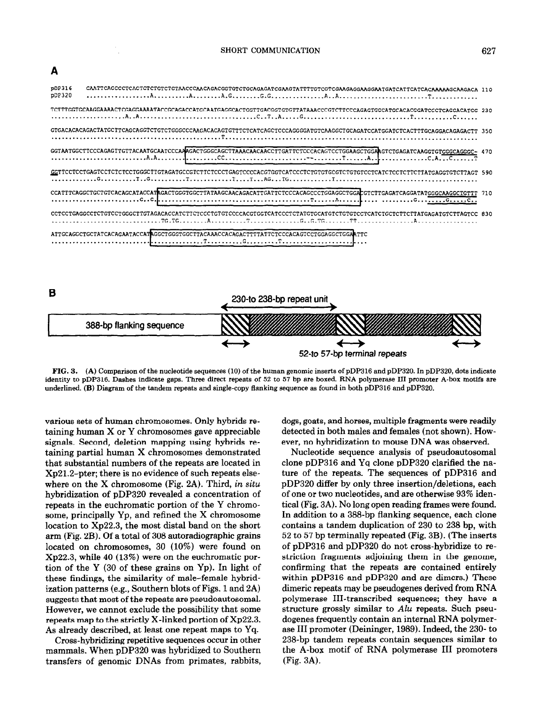

FIG. 3. (A) Comparison of the nucleotide sequences (10) of the human genomic inserts of pDP316 and pDP320. In pDP320, dots indicate identity to pDP316. Dashes indicate gaps. Three direct repeats of 52 to 57 bp are boxed. RNA polymerase III promoter A-box motifs are underlined. (B) Diagram of the tandem repeats and single-copy flanking sequence as found in both pDP316 and pDP320.

various sets of human chromosomes. Only hybrids retaining human X or Y chromosomes gave appreciable signals. Second, deletion mapping using hybrids retaining partial human X chromosomes demonstrated that substantial numbers of the repeats are located in Xp21.2-pter; there is no evidence of such repeats elsewhere on the  $X$  chromosome (Fig. 2A). Third, in situ hybridization of pDP320 revealed a concentration of repeats in the euchromatic portion of the Y chromosome, principally Yp, and refined the X chromosome location to Xp22.3, the most distal band on the short arm (Fig. 2B). Of a total of 308 autoradiographic grains located on chromosomes, 30 (10%) were found on Xp22.3, while 40 (13%) were on the euchromatic portion of the Y  $(30 \text{ of these grains on Yp})$ . In light of these findings, the similarity of male-female hybridization patterns (e.g., Southern blots of Figs. 1 and 2A) suggests that most of the repeats are pseudoautosomal. However, we cannot exclude the possibility that some repeats map to the strictly X-linked portion of Xp22.3. As already described, at least one repeat maps to Yq.

Cross-hybridizing repetitive sequences occur in other mammals. When pDP320 was hybridized to Southern transfers of genomic DNAs from primates, rabbits,

dogs, goats, and horses, multiple fragments were readily detected in both males and females (not shown). However, no hybridization to mouse DNA was observed.

5240 57-bp terminal repeats

Nucleotide sequence analysis of pseudoautosomal clone pDP316 and Yq clone pDP320 clarified the nature of the repeats. The sequences of pDP316 and pDP320 differ by only three insertion/deletions, each of one or two nucleotides, and are otherwise 93% identical (Fig. 3A). No long open reading frames were found. In addition to a 388-bp flanking sequence, each clone contains a tandem duplication of 230 to 238 bp, with 52 to 57 bp terminally repeated (Fig. 3B). (The inserts of pDP316 and pDP320 do not cross-hybridize to restriction fragments adjoining them in the genome, confirming that the repeats are contained entirely within pDP316 and pDP320 and are dimers.) These dimeric repeats may be pseudogenes derived from RNA polymerase III-transcribed sequences; they have a structure grossly similar to Alu repeats. Such pseudogenes frequently contain an internal RNA polymerase III promoter (Deininger, 1989). Indeed, the 230- to 238-bp tandem repeats contain sequences similar to the A-box motif of RNA polymerase III promoters (Fig. 3A).